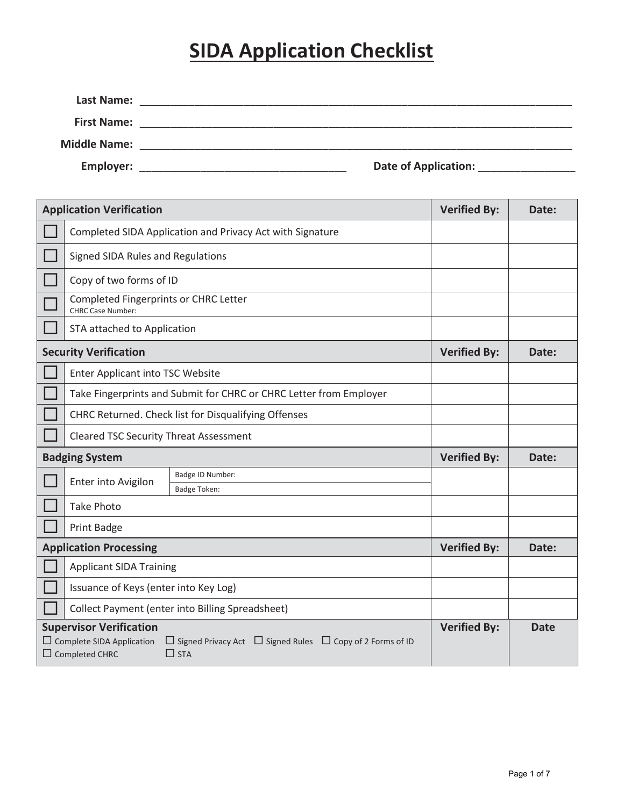# **SIDA Application Checklist**

| Last Name:          |                             |  |
|---------------------|-----------------------------|--|
| <b>First Name:</b>  |                             |  |
| <b>Middle Name:</b> |                             |  |
| <b>Employer:</b>    | <b>Date of Application:</b> |  |

| <b>Application Verification</b>                                                             |                                                                                          | <b>Verified By:</b> | Date:       |
|---------------------------------------------------------------------------------------------|------------------------------------------------------------------------------------------|---------------------|-------------|
| Completed SIDA Application and Privacy Act with Signature                                   |                                                                                          |                     |             |
| Signed SIDA Rules and Regulations                                                           |                                                                                          |                     |             |
| Copy of two forms of ID                                                                     |                                                                                          |                     |             |
| Completed Fingerprints or CHRC Letter<br><b>CHRC Case Number:</b>                           |                                                                                          |                     |             |
| STA attached to Application                                                                 |                                                                                          |                     |             |
| <b>Security Verification</b>                                                                |                                                                                          | <b>Verified By:</b> | Date:       |
| Enter Applicant into TSC Website                                                            |                                                                                          |                     |             |
|                                                                                             | Take Fingerprints and Submit for CHRC or CHRC Letter from Employer                       |                     |             |
|                                                                                             | CHRC Returned. Check list for Disqualifying Offenses                                     |                     |             |
| <b>Cleared TSC Security Threat Assessment</b>                                               |                                                                                          |                     |             |
| <b>Badging System</b>                                                                       |                                                                                          | <b>Verified By:</b> | Date:       |
| Enter into Avigilon                                                                         | Badge ID Number:                                                                         |                     |             |
| <b>Take Photo</b>                                                                           | <b>Badge Token:</b>                                                                      |                     |             |
| Print Badge                                                                                 |                                                                                          |                     |             |
| <b>Application Processing</b>                                                               |                                                                                          | <b>Verified By:</b> | Date:       |
|                                                                                             |                                                                                          |                     |             |
| <b>Applicant SIDA Training</b>                                                              |                                                                                          |                     |             |
| Issuance of Keys (enter into Key Log)                                                       |                                                                                          |                     |             |
| Collect Payment (enter into Billing Spreadsheet)                                            |                                                                                          |                     |             |
| <b>Supervisor Verification</b><br>$\Box$ Complete SIDA Application<br>$\Box$ Completed CHRC | $\Box$ Signed Privacy Act $\Box$ Signed Rules $\Box$ Copy of 2 Forms of ID<br>$\Box$ STA | <b>Verified By:</b> | <b>Date</b> |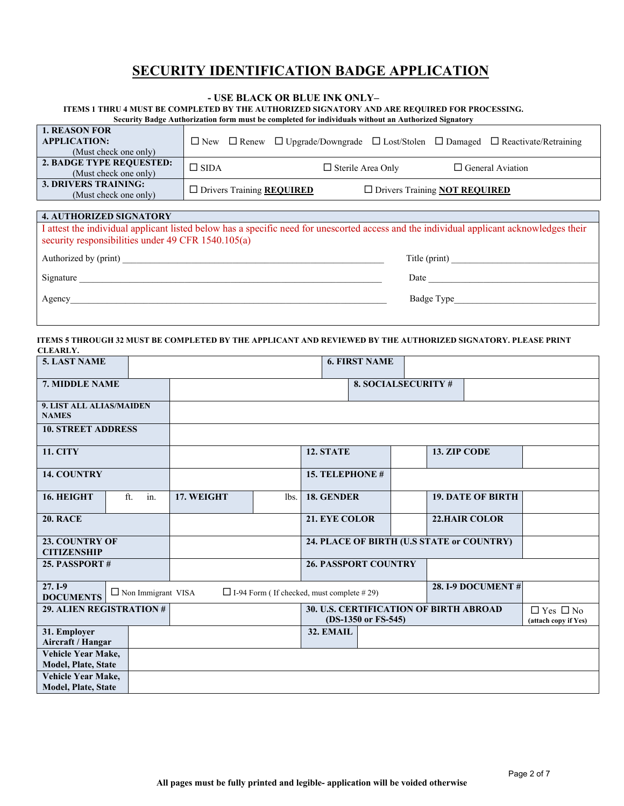## **SECURITY IDENTIFICATION BADGE APPLICATION**

#### **- USE BLACK OR BLUE INK ONLY–**

#### **ITEMS 1 THRU 4 MUST BE COMPLETED BY THE AUTHORIZED SIGNATORY AND ARE REQUIRED FOR PROCESSING.**

|  |  | Security Badge Authorization form must be completed for individuals without an Authorized Signatory |  |
|--|--|-----------------------------------------------------------------------------------------------------|--|
|  |  |                                                                                                     |  |

| <b>1. REASON FOR</b><br><b>APPLICATION:</b><br>(Must check one only) |                                    |                          |                                             | $\Box$ New $\Box$ Renew $\Box$ Upgrade/Downgrade $\Box$ Lost/Stolen $\Box$ Damaged $\Box$ Reactivate/Retraining |
|----------------------------------------------------------------------|------------------------------------|--------------------------|---------------------------------------------|-----------------------------------------------------------------------------------------------------------------|
| 2. BADGE TYPE REQUESTED:<br>(Must check one only)                    | $\Box$ SIDA                        | $\Box$ Sterile Area Only |                                             | $\Box$ General Aviation                                                                                         |
| 3. DRIVERS TRAINING:<br>(Must check one only)                        | □ Drivers Training <b>REQUIRED</b> |                          | $\Box$ Drivers Training <b>NOT REQUIRED</b> |                                                                                                                 |

| <b>4. AUTHORIZED SIGNATORY</b>                                                                                                                                                                 |               |  |  |  |
|------------------------------------------------------------------------------------------------------------------------------------------------------------------------------------------------|---------------|--|--|--|
| I attest the individual applicant listed below has a specific need for unescorted access and the individual applicant acknowledges their<br>security responsibilities under 49 CFR 1540.105(a) |               |  |  |  |
| Authorized by (print)                                                                                                                                                                          | Title (print) |  |  |  |
| Signature                                                                                                                                                                                      | Date          |  |  |  |
| Agency                                                                                                                                                                                         | Badge Type    |  |  |  |

#### **ITEMS 5 THROUGH 32 MUST BE COMPLETED BY THE APPLICANT AND REVIEWED BY THE AUTHORIZED SIGNATORY. PLEASE PRINT CLEARLY.**

| <b>5. LAST NAME</b>                              |                           |            |      |                                                                      | <b>6. FIRST NAME</b>       |                                              |                          |  |
|--------------------------------------------------|---------------------------|------------|------|----------------------------------------------------------------------|----------------------------|----------------------------------------------|--------------------------|--|
| 7. MIDDLE NAME                                   |                           |            |      |                                                                      | <b>8. SOCIALSECURITY #</b> |                                              |                          |  |
| 9. LIST ALL ALIAS/MAIDEN<br><b>NAMES</b>         |                           |            |      |                                                                      |                            |                                              |                          |  |
| <b>10. STREET ADDRESS</b>                        |                           |            |      |                                                                      |                            |                                              |                          |  |
| <b>11. CITY</b>                                  |                           |            |      | 12. STATE                                                            |                            | 13. ZIP CODE                                 |                          |  |
| <b>14. COUNTRY</b>                               |                           |            |      | <b>15. TELEPHONE #</b>                                               |                            |                                              |                          |  |
| 16. HEIGHT                                       | ft.<br>in.                | 17. WEIGHT | lbs. | 18. GENDER                                                           |                            |                                              | <b>19. DATE OF BIRTH</b> |  |
| <b>20. RACE</b>                                  |                           |            |      | <b>21. EYE COLOR</b>                                                 |                            |                                              | <b>22.HAIR COLOR</b>     |  |
| 23. COUNTRY OF<br><b>CITIZENSHIP</b>             |                           |            |      | 24. PLACE OF BIRTH (U.S STATE or COUNTRY)                            |                            |                                              |                          |  |
| 25. PASSPORT#                                    |                           |            |      | <b>26. PASSPORT COUNTRY</b>                                          |                            |                                              |                          |  |
| $27.1-9$<br><b>DOCUMENTS</b>                     | $\Box$ Non Immigrant VISA |            |      | $\Box$ I-94 Form (If checked, must complete #29)                     |                            |                                              | <b>28. I-9 DOCUMENT#</b> |  |
| 29. ALIEN REGISTRATION #                         |                           |            |      | <b>30. U.S. CERTIFICATION OF BIRTH ABROAD</b><br>(DS-1350 or FS-545) |                            | $\Box$ Yes $\Box$ No<br>(attach copy if Yes) |                          |  |
| 31. Employer<br>Aircraft / Hangar                |                           |            |      | 32. EMAIL                                                            |                            |                                              |                          |  |
| Vehicle Year Make,<br>Model, Plate, State        |                           |            |      |                                                                      |                            |                                              |                          |  |
| Vehicle Year Make,<br><b>Model, Plate, State</b> |                           |            |      |                                                                      |                            |                                              |                          |  |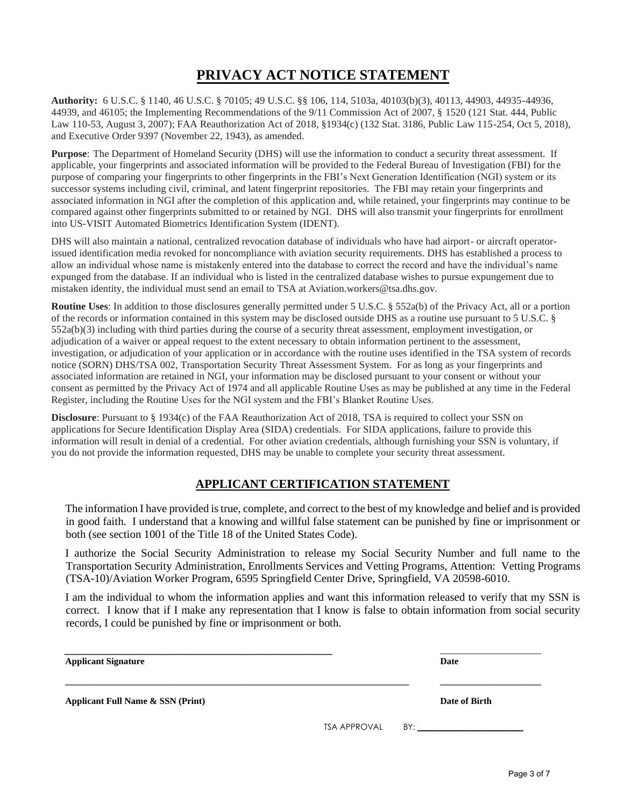## **PRIVACY ACT NOTICE STATEMENT**

**Authority:** 6 U.S.C. § 1140, 46 U.S.C. § 70105; 49 U.S.C. §§ 106, 114, 5103a, 40103(b)(3), 40113, 44903, 44935-44936, 44939, and 46105; the Implementing Recommendations of the 9/11 Commission Act of 2007, § 1520 (121 Stat. 444, Public Law 110-53, August 3, 2007); FAA Reauthorization Act of 2018, §1934(c) (132 Stat. 3186, Public Law 115-254, Oct 5, 2018), and Executive Order 9397 (November 22, 1943), as amended.

**Purpose**: The Department of Homeland Security (DHS) will use the information to conduct a security threat assessment. If applicable, your fingerprints and associated information will be provided to the Federal Bureau of Investigation (FBI) for the purpose of comparing your fingerprints to other fingerprints in the FBI's Next Generation Identification (NGI) system or its successor systems including civil, criminal, and latent fingerprint repositories. The FBI may retain your fingerprints and associated information in NGI after the completion of this application and, while retained, your fingerprints may continue to be compared against other fingerprints submitted to or retained by NGI. DHS will also transmit your fingerprints for enrollment into US-VISIT Automated Biometrics Identification System (IDENT).

DHS will also maintain a national, centralized revocation database of individuals who have had airport- or aircraft operatorissued identification media revoked for noncompliance with aviation security requirements. DHS has established a process to allow an individual whose name is mistakenly entered into the database to correct the record and have the individual's name expunged from the database. If an individual who is listed in the centralized database wishes to pursue expungement due to mistaken identity, the individual must send an email to TSA at Aviation.workers@tsa.dhs.gov.

**Routine Uses**: In addition to those disclosures generally permitted under 5 U.S.C. § 552a(b) of the Privacy Act, all or a portion of the records or information contained in this system may be disclosed outside DHS as a routine use pursuant to 5 U.S.C. § 552a(b)(3) including with third parties during the course of a security threat assessment, employment investigation, or adjudication of a waiver or appeal request to the extent necessary to obtain information pertinent to the assessment, investigation, or adjudication of your application or in accordance with the routine uses identified in the TSA system of records notice (SORN) DHS/TSA 002, Transportation Security Threat Assessment System. For as long as your fingerprints and associated information are retained in NGI, your information may be disclosed pursuant to your consent or without your consent as permitted by the Privacy Act of 1974 and all applicable Routine Uses as may be published at any time in the Federal Register, including the Routine Uses for the NGI system and the FBI's Blanket Routine Uses.

**Disclosure**: Pursuant to § 1934(c) of the FAA Reauthorization Act of 2018, TSA is required to collect your SSN on applications for Secure Identification Display Area (SIDA) credentials. For SIDA applications, failure to provide this information will result in denial of a credential. For other aviation credentials, although furnishing your SSN is voluntary, if you do not provide the information requested, DHS may be unable to complete your security threat assessment.

### **APPLICANT CERTIFICATION STATEMENT**

The information I have provided is true, complete, and correct to the best of my knowledge and belief and is provided in good faith. I understand that a knowing and willful false statement can be punished by fine or imprisonment or both (see section 1001 of the Title 18 of the United States Code).

I authorize the Social Security Administration to release my Social Security Number and full name to the Transportation Security Administration, Enrollments Services and Vetting Programs, Attention: Vetting Programs (TSA-10)/Aviation Worker Program, 6595 Springfield Center Drive, Springfield, VA 20598-6010.

I am the individual to whom the information applies and want this information released to verify that my SSN is correct. I know that if I make any representation that I know is false to obtain information from social security records, I could be punished by fine or imprisonment or both.

| <b>Applicant Signature</b>                   |  | Date             |
|----------------------------------------------|--|------------------|
| <b>Applicant Full Name &amp; SSN (Print)</b> |  | Date of Birth    |
|                                              |  | TSA APPROVAL BY: |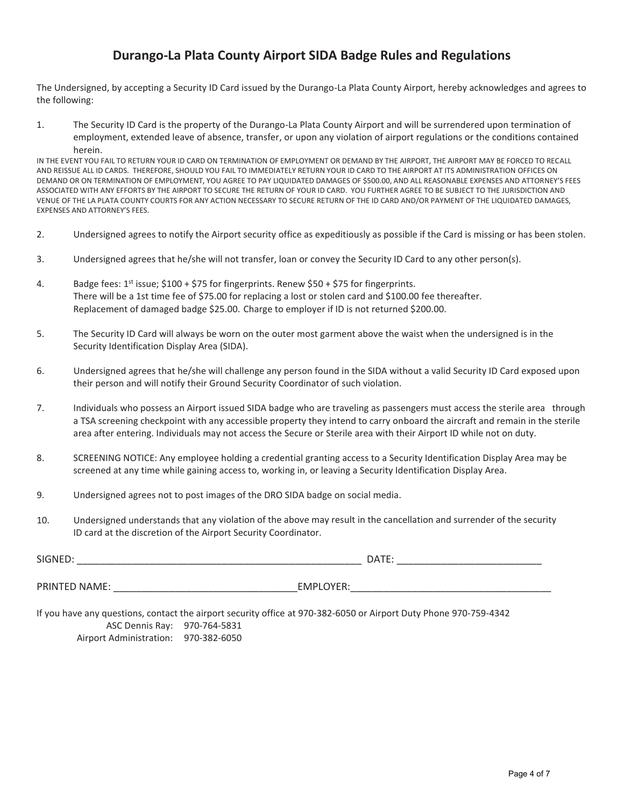## **Durango-La Plata County Airport SIDA Badge Rules and Regulations**

The Undersigned, by accepting a Security ID Card issued by the Durango-La Plata County Airport, hereby acknowledges and agrees to the following:

1. The Security ID Card is the property of the Durango-La Plata County Airport and will be surrendered upon termination of employment, extended leave of absence, transfer, or upon any violation of airport regulations or the conditions contained herein.

IN THE EVENT YOU FAIL TO RETURN YOUR ID CARD ON TERMINATION OF EMPLOYMENT OR DEMAND BY THE AIRPORT, THE AIRPORT MAY BE FORCED TO RECALL AND REISSUE ALL ID CARDS. THEREFORE, SHOULD YOU FAIL TO IMMEDIATELY RETURN YOUR ID CARD TO THE AIRPORT AT ITS ADMINISTRATION OFFICES ON DEMAND OR ON TERMINATION OF EMPLOYMENT, YOU AGREE TO PAY LIQUIDATED DAMAGES OF \$500.00, AND ALL REASONABLE EXPENSES AND ATTORNEY'S FEES ASSOCIATED WITH ANY EFFORTS BY THE AIRPORT TO SECURE THE RETURN OF YOUR ID CARD. YOU FURTHER AGREE TO BE SUBJECT TO THE JURISDICTION AND VENUE OF THE LA PLATA COUNTY COURTS FOR ANY ACTION NECESSARY TO SECURE RETURN OF THE ID CARD AND/OR PAYMENT OF THE LIQUIDATED DAMAGES, EXPENSES AND ATTORNEY'S FEES.

- 2. Undersigned agrees to notify the Airport security office as expeditiously as possible if the Card is missing or has been stolen.
- 3. Undersigned agrees that he/she will not transfer, loan or convey the Security ID Card to any other person(s).
- 4. Badge fees:  $1^{st}$  issue; \$100 + \$75 for fingerprints. Renew \$50 + \$75 for fingerprints. There will be a 1st time fee of \$75.00 for replacing a lost or stolen card and \$100.00 fee thereafter. Replacement of damaged badge \$25.00. Charge to employer if ID is not returned \$200.00.
- 5. The Security ID Card will always be worn on the outer most garment above the waist when the undersigned is in the Security Identification Display Area (SIDA).
- 6. Undersigned agrees that he/she will challenge any person found in the SIDA without a valid Security ID Card exposed upon their person and will notify their Ground Security Coordinator of such violation.
- 7. Individuals who possess an Airport issued SIDA badge who are traveling as passengers must access the sterile area through a TSA screening checkpoint with any accessible property they intend to carry onboard the aircraft and remain in the sterile area after entering. Individuals may not access the Secure or Sterile area with their Airport ID while not on duty.
- 8. SCREENING NOTICE: Any employee holding a credential granting access to a Security Identification Display Area may be screened at any time while gaining access to, working in, or leaving a Security Identification Display Area.
- 9. Undersigned agrees not to post images of the DRO SIDA badge on social media.
- 10. Undersigned understands that any violation of the above may result in the cancellation and surrender of the security ID card at the discretion of the Airport Security Coordinator.

| SIGNED:              | DATE:            |
|----------------------|------------------|
| <b>PRINTED NAME:</b> | <b>EMPLOYER:</b> |

If you have any questions, contact the airport security office at 970-382-6050 or Airport Duty Phone 970-759-4342 ASC Dennis Ray: 970-764-5831 Airport Administration: 970-382-6050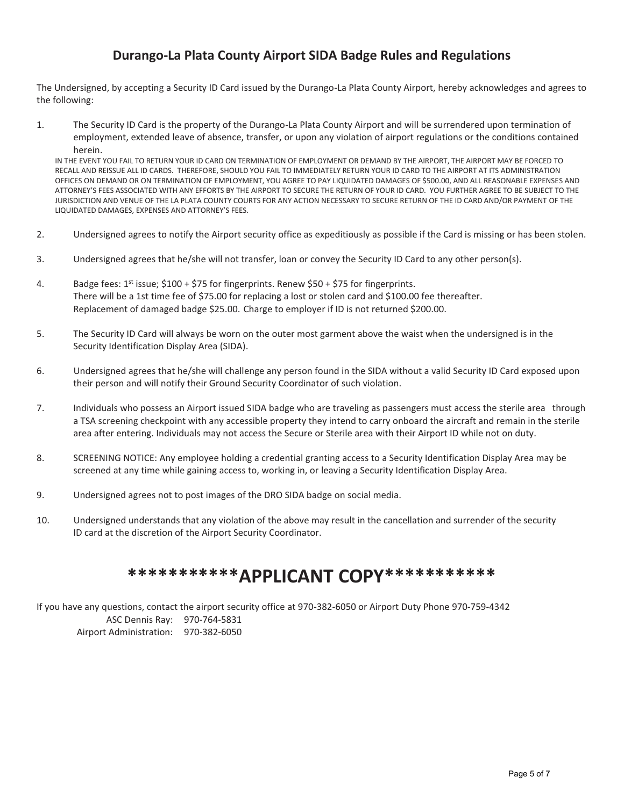## **Durango-La Plata County Airport SIDA Badge Rules and Regulations**

The Undersigned, by accepting a Security ID Card issued by the Durango-La Plata County Airport, hereby acknowledges and agrees to the following:

1. The Security ID Card is the property of the Durango-La Plata County Airport and will be surrendered upon termination of employment, extended leave of absence, transfer, or upon any violation of airport regulations or the conditions contained herein.

IN THE EVENT YOU FAIL TO RETURN YOUR ID CARD ON TERMINATION OF EMPLOYMENT OR DEMAND BY THE AIRPORT, THE AIRPORT MAY BE FORCED TO RECALL AND REISSUE ALL ID CARDS. THEREFORE, SHOULD YOU FAIL TO IMMEDIATELY RETURN YOUR ID CARD TO THE AIRPORT AT ITS ADMINISTRATION OFFICES ON DEMAND OR ON TERMINATION OF EMPLOYMENT, YOU AGREE TO PAY LIQUIDATED DAMAGES OF \$500.00, AND ALL REASONABLE EXPENSES AND ATTORNEY'S FEES ASSOCIATED WITH ANY EFFORTS BY THE AIRPORT TO SECURE THE RETURN OF YOUR ID CARD. YOU FURTHER AGREE TO BE SUBJECT TO THE JURISDICTION AND VENUE OF THE LA PLATA COUNTY COURTS FOR ANY ACTION NECESSARY TO SECURE RETURN OF THE ID CARD AND/OR PAYMENT OF THE LIQUIDATED DAMAGES, EXPENSES AND ATTORNEY'S FEES.

- 2. Undersigned agrees to notify the Airport security office as expeditiously as possible if the Card is missing or has been stolen.
- 3. Undersigned agrees that he/she will not transfer, loan or convey the Security ID Card to any other person(s).
- 4. Badge fees:  $1^{st}$  issue; \$100 + \$75 for fingerprints. Renew \$50 + \$75 for fingerprints. There will be a 1st time fee of \$75.00 for replacing a lost or stolen card and \$100.00 fee thereafter. Replacement of damaged badge \$25.00. Charge to employer if ID is not returned \$200.00.
- 5. The Security ID Card will always be worn on the outer most garment above the waist when the undersigned is in the Security Identification Display Area (SIDA).
- 6. Undersigned agrees that he/she will challenge any person found in the SIDA without a valid Security ID Card exposed upon their person and will notify their Ground Security Coordinator of such violation.
- 7. Individuals who possess an Airport issued SIDA badge who are traveling as passengers must access the sterile area through a TSA screening checkpoint with any accessible property they intend to carry onboard the aircraft and remain in the sterile area after entering. Individuals may not access the Secure or Sterile area with their Airport ID while not on duty.
- 8. SCREENING NOTICE: Any employee holding a credential granting access to a Security Identification Display Area may be screened at any time while gaining access to, working in, or leaving a Security Identification Display Area.
- 9. Undersigned agrees not to post images of the DRO SIDA badge on social media.
- 10. Undersigned understands that any violation of the above may result in the cancellation and surrender of the security ID card at the discretion of the Airport Security Coordinator.

# **\*\*\*\*\*\*\*\*\*\*\*APPLICANT COPY\*\*\*\*\*\*\*\*\*\*\***

If you have any questions, contact the airport security office at 970-382-6050 or Airport Duty Phone 970-759-4342 ASC Dennis Ray: 970-764-5831 Airport Administration: 970-382-6050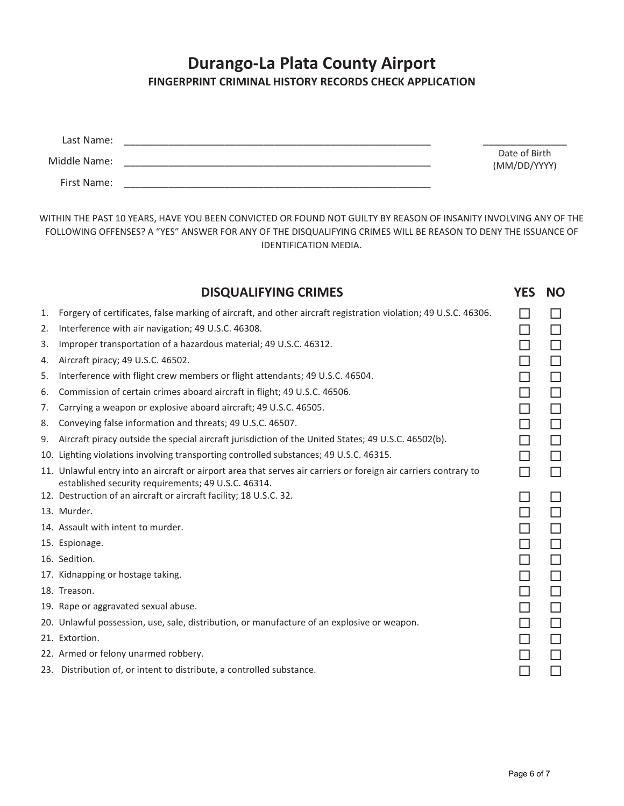# **Durango-La Plata County Airport FINGERPRINT CRIMINAL HISTORY RECORDS CHECK APPLICATION**

| Last Name:   |                               |
|--------------|-------------------------------|
| Middle Name: | Date of Birth<br>(MM/DD/YYYY) |
| First Name:  |                               |

WITHIN THE PAST 10 YEARS, HAVE YOU BEEN CONVICTED OR FOUND NOT GUILTY BY REASON OF INSANITY INVOLVING ANY OF THE FOLLOWING OFFENSES? A "YES" ANSWER FOR ANY OF THE DISQUALIFYING CRIMES WILL BE REASON TO DENY THE ISSUANCE OF IDENTIFICATION MEDIA.

|    | <b>DISQUALIFYING CRIMES</b>                                                                                                                                             | <b>YES</b>   | <b>NO</b> |
|----|-------------------------------------------------------------------------------------------------------------------------------------------------------------------------|--------------|-----------|
| 1. | Forgery of certificates, false marking of aircraft, and other aircraft registration violation; 49 U.S.C. 46306.                                                         |              |           |
| 2. | Interference with air navigation; 49 U.S.C. 46308.                                                                                                                      | $\mathsf{L}$ | $\Box$    |
| 3. | Improper transportation of a hazardous material; 49 U.S.C. 46312.                                                                                                       | H            | □         |
| 4. | Aircraft piracy; 49 U.S.C. 46502.                                                                                                                                       | П            | $\Box$    |
| 5. | Interference with flight crew members or flight attendants; 49 U.S.C. 46504.                                                                                            | П            | □         |
| 6. | Commission of certain crimes aboard aircraft in flight; 49 U.S.C. 46506.                                                                                                |              | $\Box$    |
| 7. | Carrying a weapon or explosive aboard aircraft; 49 U.S.C. 46505.                                                                                                        |              | $\Box$    |
| 8. | Conveying false information and threats; 49 U.S.C. 46507.                                                                                                               | П            | $\Box$    |
| 9. | Aircraft piracy outside the special aircraft jurisdiction of the United States; 49 U.S.C. 46502(b).                                                                     |              | $\Box$    |
|    | 10. Lighting violations involving transporting controlled substances; 49 U.S.C. 46315.                                                                                  | П            | □         |
|    | 11. Unlawful entry into an aircraft or airport area that serves air carriers or foreign air carriers contrary to<br>established security requirements; 49 U.S.C. 46314. | П            | П         |
|    | 12. Destruction of an aircraft or aircraft facility; 18 U.S.C. 32.                                                                                                      |              | $\Box$    |
|    | 13. Murder.                                                                                                                                                             | П            | □         |
|    | 14. Assault with intent to murder.                                                                                                                                      | П            | $\Box$    |
|    | 15. Espionage.                                                                                                                                                          | П            | □         |
|    | 16. Sedition.                                                                                                                                                           | П            | $\Box$    |
|    | 17. Kidnapping or hostage taking.                                                                                                                                       | П            | □         |
|    | 18. Treason.                                                                                                                                                            | П            | $\Box$    |
|    | 19. Rape or aggravated sexual abuse.                                                                                                                                    | П            | $\Box$    |
|    | 20. Unlawful possession, use, sale, distribution, or manufacture of an explosive or weapon.                                                                             |              | $\Box$    |
|    | 21. Extortion.                                                                                                                                                          | П            | $\Box$    |
|    | 22. Armed or felony unarmed robbery.                                                                                                                                    |              | Ш         |
|    | 23. Distribution of, or intent to distribute, a controlled substance.                                                                                                   |              |           |